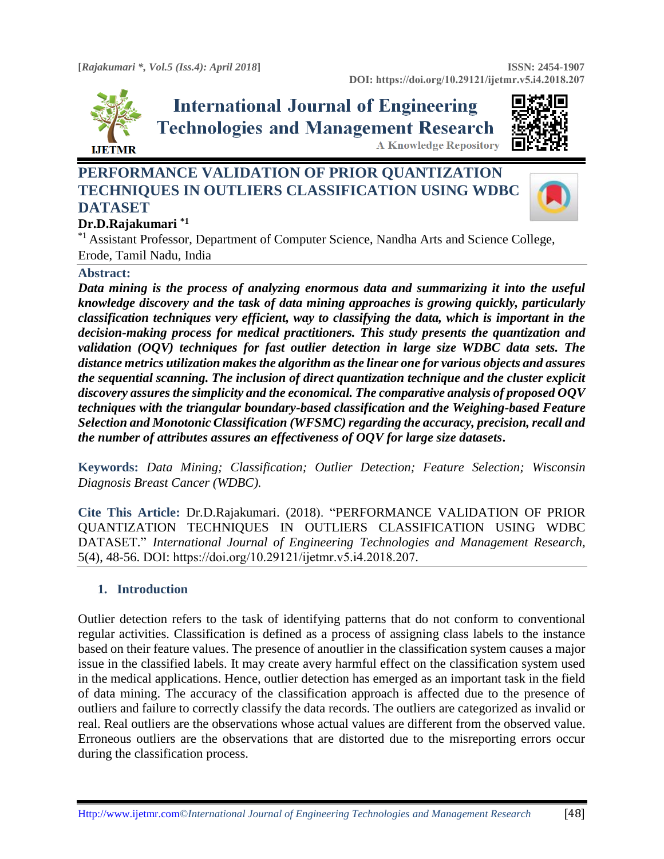

# **International Journal of Engineering Technologies and Management Research A Knowledge Repository**



## **PERFORMANCE VALIDATION OF PRIOR QUANTIZATION TECHNIQUES IN OUTLIERS CLASSIFICATION USING WDBC DATASET**



## **Dr.D.Rajakumari \*1**

\*1 Assistant Professor, Department of Computer Science, Nandha Arts and Science College, Erode, Tamil Nadu, India

#### **Abstract:**

*Data mining is the process of analyzing enormous data and summarizing it into the useful knowledge discovery and the task of data mining approaches is growing quickly, particularly classification techniques very efficient, way to classifying the data, which is important in the decision-making process for medical practitioners. This study presents the quantization and validation (OQV) techniques for fast outlier detection in large size WDBC data sets. The distance metrics utilization makes the algorithm as the linear one for various objects and assures the sequential scanning. The inclusion of direct quantization technique and the cluster explicit discovery assures the simplicity and the economical. The comparative analysis of proposed OQV techniques with the triangular boundary-based classification and the Weighing-based Feature Selection and Monotonic Classification (WFSMC) regarding the accuracy, precision, recall and the number of attributes assures an effectiveness of OQV for large size datasets***.**

**Keywords:** *Data Mining; Classification; Outlier Detection; Feature Selection; Wisconsin Diagnosis Breast Cancer (WDBC).* 

**Cite This Article:** Dr.D.Rajakumari. (2018). "PERFORMANCE VALIDATION OF PRIOR QUANTIZATION TECHNIQUES IN OUTLIERS CLASSIFICATION USING WDBC DATASET." *International Journal of Engineering Technologies and Management Research,*  5(4), 48-56. DOI: https://doi.org/10.29121/ijetmr.v5.i4.2018.207.

## **1. Introduction**

Outlier detection refers to the task of identifying patterns that do not conform to conventional regular activities. Classification is defined as a process of assigning class labels to the instance based on their feature values. The presence of anoutlier in the classification system causes a major issue in the classified labels. It may create avery harmful effect on the classification system used in the medical applications. Hence, outlier detection has emerged as an important task in the field of data mining. The accuracy of the classification approach is affected due to the presence of outliers and failure to correctly classify the data records. The outliers are categorized as invalid or real. Real outliers are the observations whose actual values are different from the observed value. Erroneous outliers are the observations that are distorted due to the misreporting errors occur during the classification process.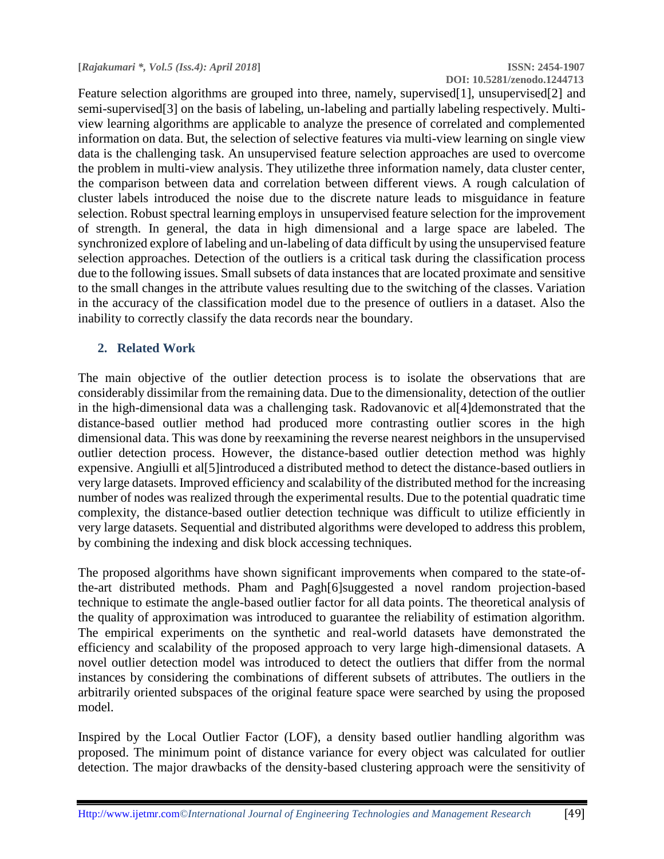**DOI: 10.5281/zenodo.1244713**

Feature selection algorithms are grouped into three, namely, supervised[1], unsupervised[2] and semi-supervised[3] on the basis of labeling, un-labeling and partially labeling respectively. Multiview learning algorithms are applicable to analyze the presence of correlated and complemented information on data. But, the selection of selective features via multi-view learning on single view data is the challenging task. An unsupervised feature selection approaches are used to overcome the problem in multi-view analysis. They utilizethe three information namely, data cluster center, the comparison between data and correlation between different views. A rough calculation of cluster labels introduced the noise due to the discrete nature leads to misguidance in feature selection. Robust spectral learning employs in unsupervised feature selection for the improvement of strength. In general, the data in high dimensional and a large space are labeled. The synchronized explore of labeling and un-labeling of data difficult by using the unsupervised feature selection approaches. Detection of the outliers is a critical task during the classification process due to the following issues. Small subsets of data instances that are located proximate and sensitive to the small changes in the attribute values resulting due to the switching of the classes. Variation in the accuracy of the classification model due to the presence of outliers in a dataset. Also the inability to correctly classify the data records near the boundary.

## **2. Related Work**

The main objective of the outlier detection process is to isolate the observations that are considerably dissimilar from the remaining data. Due to the dimensionality, detection of the outlier in the high-dimensional data was a challenging task. Radovanovic et al[4]demonstrated that the distance-based outlier method had produced more contrasting outlier scores in the high dimensional data. This was done by reexamining the reverse nearest neighbors in the unsupervised outlier detection process. However, the distance-based outlier detection method was highly expensive. Angiulli et al[5]introduced a distributed method to detect the distance-based outliers in very large datasets. Improved efficiency and scalability of the distributed method for the increasing number of nodes was realized through the experimental results. Due to the potential quadratic time complexity, the distance-based outlier detection technique was difficult to utilize efficiently in very large datasets. Sequential and distributed algorithms were developed to address this problem, by combining the indexing and disk block accessing techniques.

The proposed algorithms have shown significant improvements when compared to the state-ofthe-art distributed methods. Pham and Pagh[6]suggested a novel random projection-based technique to estimate the angle-based outlier factor for all data points. The theoretical analysis of the quality of approximation was introduced to guarantee the reliability of estimation algorithm. The empirical experiments on the synthetic and real-world datasets have demonstrated the efficiency and scalability of the proposed approach to very large high-dimensional datasets. A novel outlier detection model was introduced to detect the outliers that differ from the normal instances by considering the combinations of different subsets of attributes. The outliers in the arbitrarily oriented subspaces of the original feature space were searched by using the proposed model.

Inspired by the Local Outlier Factor (LOF), a density based outlier handling algorithm was proposed. The minimum point of distance variance for every object was calculated for outlier detection. The major drawbacks of the density-based clustering approach were the sensitivity of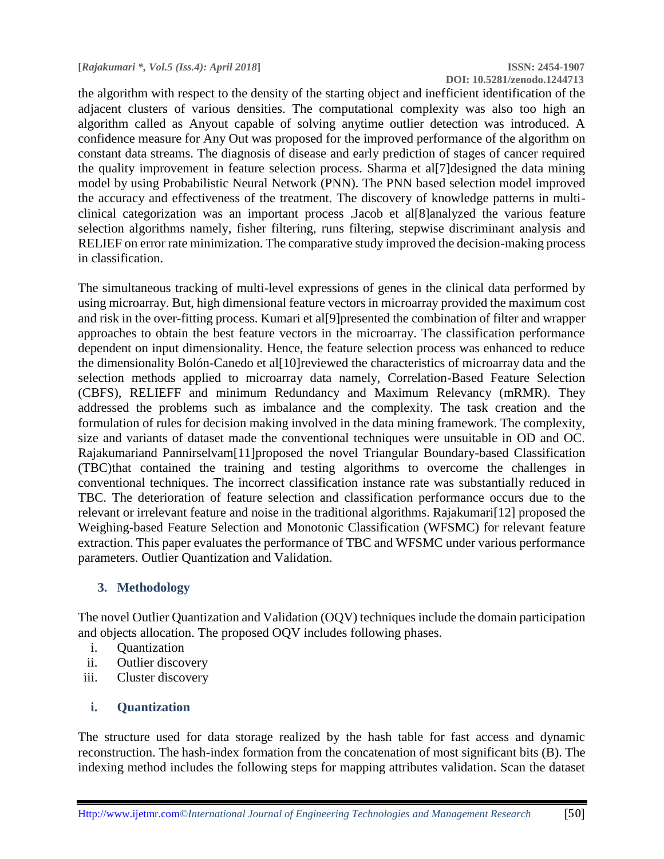the algorithm with respect to the density of the starting object and inefficient identification of the adjacent clusters of various densities. The computational complexity was also too high an algorithm called as Anyout capable of solving anytime outlier detection was introduced. A confidence measure for Any Out was proposed for the improved performance of the algorithm on constant data streams. The diagnosis of disease and early prediction of stages of cancer required the quality improvement in feature selection process. Sharma et al[7]designed the data mining model by using Probabilistic Neural Network (PNN). The PNN based selection model improved the accuracy and effectiveness of the treatment. The discovery of knowledge patterns in multiclinical categorization was an important process .Jacob et al[8]analyzed the various feature selection algorithms namely, fisher filtering, runs filtering, stepwise discriminant analysis and RELIEF on error rate minimization. The comparative study improved the decision-making process in classification.

The simultaneous tracking of multi-level expressions of genes in the clinical data performed by using microarray. But, high dimensional feature vectors in microarray provided the maximum cost and risk in the over-fitting process. Kumari et al[9]presented the combination of filter and wrapper approaches to obtain the best feature vectors in the microarray. The classification performance dependent on input dimensionality. Hence, the feature selection process was enhanced to reduce the dimensionality Bolón-Canedo et al[10]reviewed the characteristics of microarray data and the selection methods applied to microarray data namely, Correlation-Based Feature Selection (CBFS), RELIEFF and minimum Redundancy and Maximum Relevancy (mRMR). They addressed the problems such as imbalance and the complexity. The task creation and the formulation of rules for decision making involved in the data mining framework. The complexity, size and variants of dataset made the conventional techniques were unsuitable in OD and OC. Rajakumariand Pannirselvam[11]proposed the novel Triangular Boundary-based Classification (TBC)that contained the training and testing algorithms to overcome the challenges in conventional techniques. The incorrect classification instance rate was substantially reduced in TBC. The deterioration of feature selection and classification performance occurs due to the relevant or irrelevant feature and noise in the traditional algorithms. Rajakumari[12] proposed the Weighing-based Feature Selection and Monotonic Classification (WFSMC) for relevant feature extraction. This paper evaluates the performance of TBC and WFSMC under various performance parameters. Outlier Quantization and Validation.

## **3. Methodology**

The novel Outlier Quantization and Validation (OQV) techniques include the domain participation and objects allocation. The proposed OQV includes following phases.

- i. Quantization
- ii. Outlier discovery
- iii. Cluster discovery

## **i. Quantization**

The structure used for data storage realized by the hash table for fast access and dynamic reconstruction. The hash-index formation from the concatenation of most significant bits (B). The indexing method includes the following steps for mapping attributes validation. Scan the dataset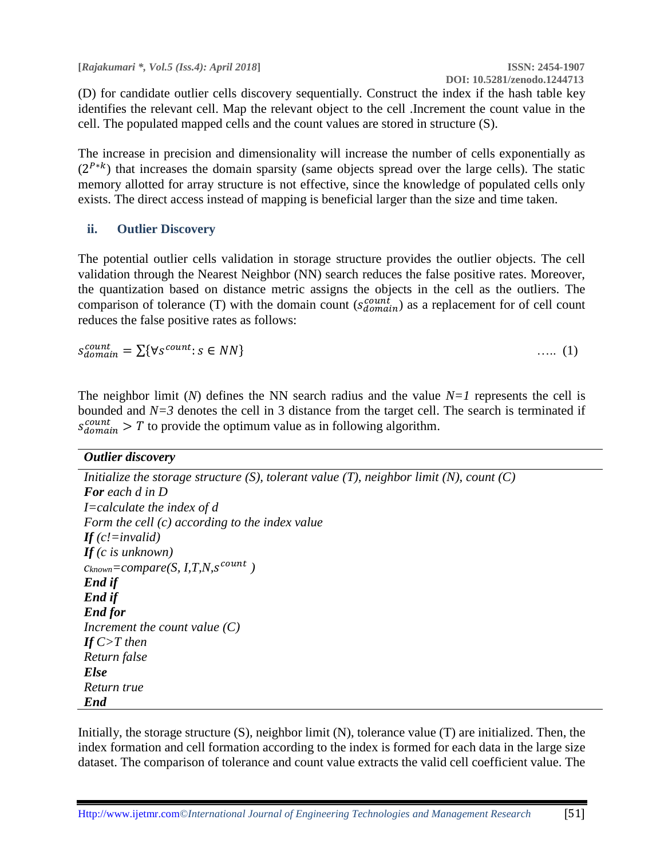**[***Rajakumari \*, Vol.5 (Iss.4): April 2018***] ISSN: 2454-1907**

 **DOI: 10.5281/zenodo.1244713**

(D) for candidate outlier cells discovery sequentially. Construct the index if the hash table key identifies the relevant cell. Map the relevant object to the cell .Increment the count value in the cell. The populated mapped cells and the count values are stored in structure (S).

The increase in precision and dimensionality will increase the number of cells exponentially as  $(2^{P*k})$  that increases the domain sparsity (same objects spread over the large cells). The static memory allotted for array structure is not effective, since the knowledge of populated cells only exists. The direct access instead of mapping is beneficial larger than the size and time taken.

#### **ii. Outlier Discovery**

The potential outlier cells validation in storage structure provides the outlier objects. The cell validation through the Nearest Neighbor (NN) search reduces the false positive rates. Moreover, the quantization based on distance metric assigns the objects in the cell as the outliers. The comparison of tolerance (T) with the domain count  $(s_{domain}^{count})$  as a replacement for of cell count reduces the false positive rates as follows:

 $S_{domain}^{count} = \sum \{ \forall s^{count} : s \in NN \}$  (1)

The neighbor limit (*N*) defines the NN search radius and the value *N=1* represents the cell is bounded and *N=3* denotes the cell in 3 distance from the target cell. The search is terminated if  $s_{domain}^{count} > T$  to provide the optimum value as in following algorithm.

| Initialize the storage structure $(S)$ , tolerant value $(T)$ , neighbor limit $(N)$ , count $(C)$ |
|----------------------------------------------------------------------------------------------------|
| <b>For</b> each d in D                                                                             |
| <i>I</i> =calculate the index of d                                                                 |
| Form the cell $(c)$ according to the index value                                                   |
| If $(c$ <i>/=invalid</i> )                                                                         |
| If $(c$ is unknown)                                                                                |
| $c_{known} = compare(S, I, T, N, s^{count})$                                                       |
| End if                                                                                             |
| End if                                                                                             |
| <b>End for</b>                                                                                     |
| Increment the count value $(C)$                                                                    |
| If $C>T$ then                                                                                      |
| Return false                                                                                       |
| <b>Else</b>                                                                                        |
| Return true                                                                                        |
| <b>End</b>                                                                                         |

Initially, the storage structure (S), neighbor limit (N), tolerance value (T) are initialized. Then, the index formation and cell formation according to the index is formed for each data in the large size dataset. The comparison of tolerance and count value extracts the valid cell coefficient value. The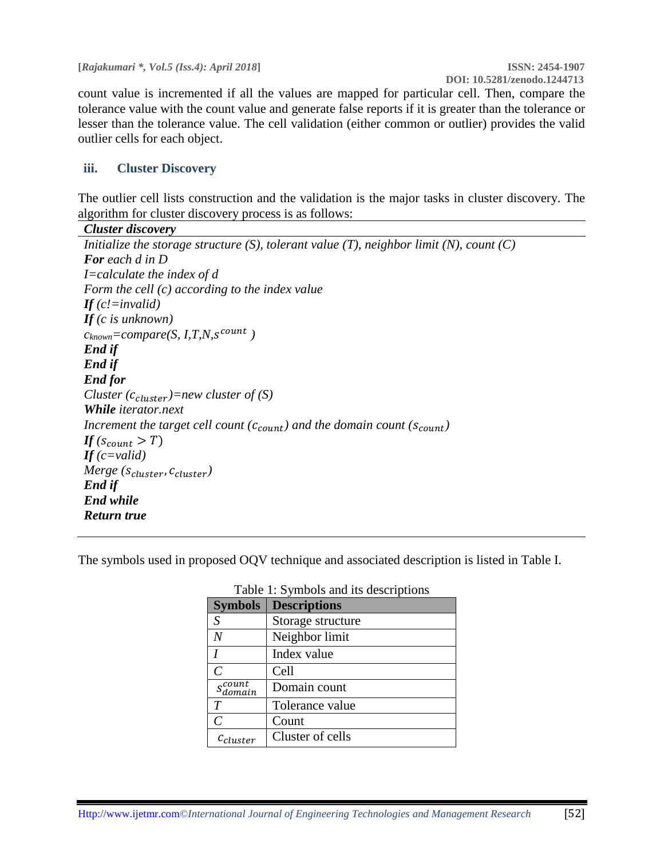**[***Rajakumari \*, Vol.5 (Iss.4): April 2018***] ISSN: 2454-1907**

count value is incremented if all the values are mapped for particular cell. Then, compare the tolerance value with the count value and generate false reports if it is greater than the tolerance or lesser than the tolerance value. The cell validation (either common or outlier) provides the valid outlier cells for each object.

#### **iii. Cluster Discovery**

The outlier cell lists construction and the validation is the major tasks in cluster discovery. The algorithm for cluster discovery process is as follows:

| <b>Cluster discovery</b>                                                                           |
|----------------------------------------------------------------------------------------------------|
| Initialize the storage structure $(S)$ , tolerant value $(T)$ , neighbor limit $(N)$ , count $(C)$ |
| <b>For</b> each d in D                                                                             |
| <i>I</i> =calculate the index of $d$                                                               |
| Form the cell (c) according to the index value                                                     |
| <b>If</b> $(c$ <i>!</i> =invalid)                                                                  |
| If $(c$ is unknown)                                                                                |
| $c_{known} = compare(S, I, T, N, s^{count})$                                                       |
| End if                                                                                             |
| End if                                                                                             |
| <b>End for</b>                                                                                     |
| Cluster $(c_{cluster})$ =new cluster of (S)                                                        |
| <b>While</b> iterator.next                                                                         |
| Increment the target cell count $(c_{count})$ and the domain count $(s_{count})$                   |
| If $(s_{count} > T)$                                                                               |
| If $(c=valid)$                                                                                     |
| <i>Merge</i> ( $s_{cluster}$ , $c_{cluster}$ )                                                     |
| End if                                                                                             |
| <b>End while</b>                                                                                   |
| Return true                                                                                        |

The symbols used in proposed OQV technique and associated description is listed in Table I.

| <b>Symbols</b>       | <b>Descriptions</b> |
|----------------------|---------------------|
| S                    | Storage structure   |
| $\overline{N}$       | Neighbor limit      |
|                      | Index value         |
| $\mathcal{C}$        | Cell                |
| $s_{domain}^{count}$ | Domain count        |
| T                    | Tolerance value     |
| $\overline{C}$       | Count               |
| $c_{cluster}$        | Cluster of cells    |

#### Table 1: Symbols and its descriptions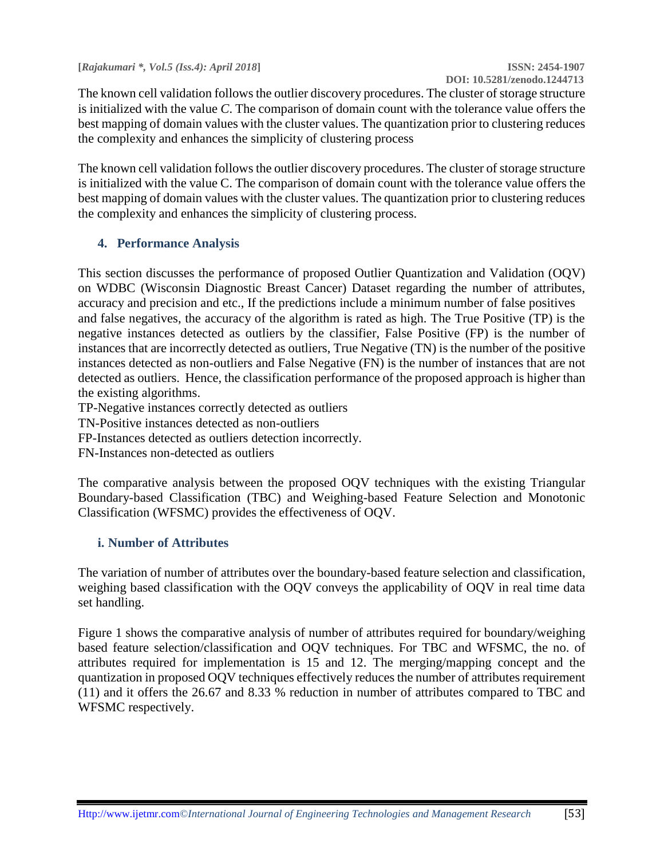**[***Rajakumari \*, Vol.5 (Iss.4): April 2018***] ISSN: 2454-1907**

 **DOI: 10.5281/zenodo.1244713**

The known cell validation follows the outlier discovery procedures. The cluster of storage structure is initialized with the value *C*. The comparison of domain count with the tolerance value offers the best mapping of domain values with the cluster values. The quantization prior to clustering reduces the complexity and enhances the simplicity of clustering process

The known cell validation follows the outlier discovery procedures. The cluster of storage structure is initialized with the value C. The comparison of domain count with the tolerance value offers the best mapping of domain values with the cluster values. The quantization prior to clustering reduces the complexity and enhances the simplicity of clustering process.

#### **4. Performance Analysis**

This section discusses the performance of proposed Outlier Quantization and Validation (OQV) on WDBC (Wisconsin Diagnostic Breast Cancer) Dataset regarding the number of attributes, accuracy and precision and etc., If the predictions include a minimum number of false positives and false negatives, the accuracy of the algorithm is rated as high. The True Positive (TP) is the negative instances detected as outliers by the classifier, False Positive (FP) is the number of instances that are incorrectly detected as outliers, True Negative (TN) is the number of the positive instances detected as non-outliers and False Negative (FN) is the number of instances that are not detected as outliers. Hence, the classification performance of the proposed approach is higher than the existing algorithms.

TP-Negative instances correctly detected as outliers

TN-Positive instances detected as non-outliers

FP-Instances detected as outliers detection incorrectly.

FN-Instances non-detected as outliers

The comparative analysis between the proposed OQV techniques with the existing Triangular Boundary-based Classification (TBC) and Weighing-based Feature Selection and Monotonic Classification (WFSMC) provides the effectiveness of OQV.

#### **i. Number of Attributes**

The variation of number of attributes over the boundary-based feature selection and classification, weighing based classification with the OQV conveys the applicability of OQV in real time data set handling.

Figure 1 shows the comparative analysis of number of attributes required for boundary/weighing based feature selection/classification and OQV techniques. For TBC and WFSMC, the no. of attributes required for implementation is 15 and 12. The merging/mapping concept and the quantization in proposed OQV techniques effectively reduces the number of attributes requirement (11) and it offers the 26.67 and 8.33 % reduction in number of attributes compared to TBC and WFSMC respectively.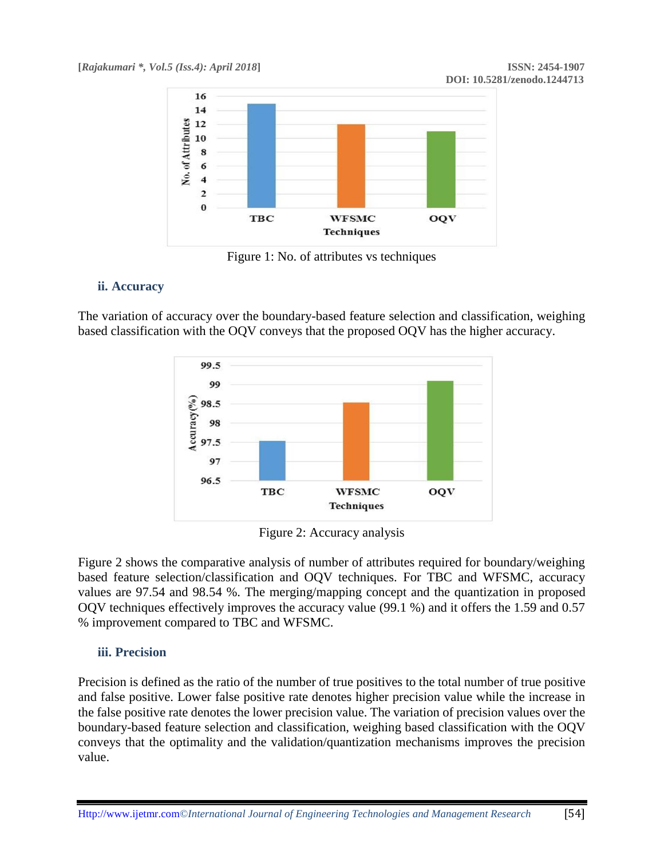

Figure 1: No. of attributes vs techniques

## **ii. Accuracy**

The variation of accuracy over the boundary-based feature selection and classification, weighing based classification with the OQV conveys that the proposed OQV has the higher accuracy.



Figure 2: Accuracy analysis

Figure 2 shows the comparative analysis of number of attributes required for boundary/weighing based feature selection/classification and OQV techniques. For TBC and WFSMC, accuracy values are 97.54 and 98.54 %. The merging/mapping concept and the quantization in proposed OQV techniques effectively improves the accuracy value (99.1 %) and it offers the 1.59 and 0.57 % improvement compared to TBC and WFSMC.

## **iii. Precision**

Precision is defined as the ratio of the number of true positives to the total number of true positive and false positive. Lower false positive rate denotes higher precision value while the increase in the false positive rate denotes the lower precision value. The variation of precision values over the boundary-based feature selection and classification, weighing based classification with the OQV conveys that the optimality and the validation/quantization mechanisms improves the precision value.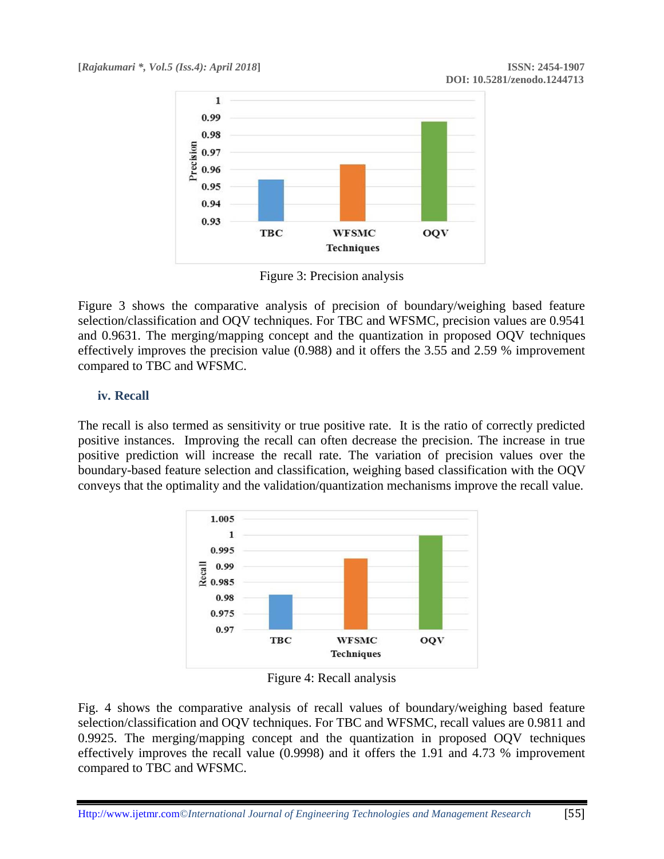

Figure 3: Precision analysis

Figure 3 shows the comparative analysis of precision of boundary/weighing based feature selection/classification and OQV techniques. For TBC and WFSMC, precision values are 0.9541 and 0.9631. The merging/mapping concept and the quantization in proposed OQV techniques effectively improves the precision value (0.988) and it offers the 3.55 and 2.59 % improvement compared to TBC and WFSMC.

## **iv. Recall**

The recall is also termed as sensitivity or true positive rate. It is the ratio of correctly predicted positive instances. Improving the recall can often decrease the precision. The increase in true positive prediction will increase the recall rate. The variation of precision values over the boundary-based feature selection and classification, weighing based classification with the OQV conveys that the optimality and the validation/quantization mechanisms improve the recall value.



Figure 4: Recall analysis

Fig. 4 shows the comparative analysis of recall values of boundary/weighing based feature selection/classification and OQV techniques. For TBC and WFSMC, recall values are 0.9811 and 0.9925. The merging/mapping concept and the quantization in proposed OQV techniques effectively improves the recall value (0.9998) and it offers the 1.91 and 4.73 % improvement compared to TBC and WFSMC.